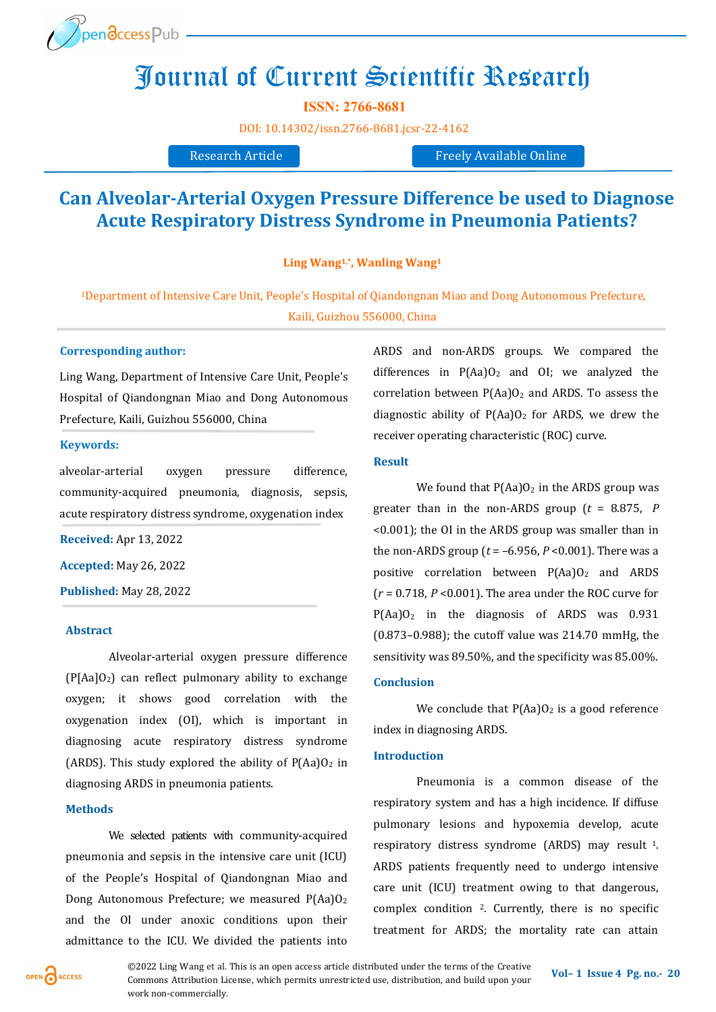

# Journal of Current Scientific Research

**ISSN: 2766-8681**

[DOI:](https://doi.org/10.14302/issn.2639-3166.jar-21-3872) [10.14302/issn.2766](https://doi.org/10.14302/issn.2766-8681.jcsr-22-4162)-8681.jcsr-22-4162

Research Article Freely Available Online

# **Can Alveolar-Arterial Oxygen Pressure Difference be used to Diagnose Acute Respiratory Distress Syndrome in Pneumonia Patients?**

**Ling Wang1,\*, Wanling Wang<sup>1</sup>**

<sup>1</sup>Department of Intensive Care Unit, People's Hospital of Qiandongnan Miao and Dong Autonomous Prefecture, Kaili, Guizhou 556000, China

# **Corresponding author:**

Ling Wang, Department of Intensive Care Unit, People's Hospital of Qiandongnan Miao and Dong Autonomous Prefecture, Kaili, Guizhou 556000, China

# **Keywords:**

alveolar-arterial oxygen pressure difference, community-acquired pneumonia, diagnosis, sepsis, acute respiratory distress syndrome, oxygenation index

**Received:** Apr 13, 2022

**Accepted:** May 26, 2022

**Published:** May 28, 2022

#### **Abstract**

Alveolar-arterial oxygen pressure difference  $(P[Aa]O<sub>2</sub>)$  can reflect pulmonary ability to exchange oxygen; it shows good correlation with the oxygenation index (OI), which is important in diagnosing acute respiratory distress syndrome (ARDS). This study explored the ability of  $P(Aa)O<sub>2</sub>$  in diagnosing ARDS in pneumonia patients.

### **Methods**

We selected patients with community-acquired pneumonia and sepsis in the intensive care unit (ICU) of the People's Hospital of Qiandongnan Miao and Dong Autonomous Prefecture; we measured P(Aa)O<sup>2</sup> and the OI under anoxic conditions upon their admittance to the ICU. We divided the patients into ARDS and non-ARDS groups. We compared the differences in  $P(Aa)O_2$  and OI; we analyzed the correlation between  $P(Aa)O_2$  and ARDS. To assess the diagnostic ability of  $P(Aa)O<sub>2</sub>$  for ARDS, we drew the receiver operating characteristic (ROC) curve.

#### **Result**

We found that  $P(Aa)O_2$  in the ARDS group was greater than in the non-ARDS group (*t* = 8.875, *P* <0.001); the OI in the ARDS group was smaller than in the non-ARDS group (*t* = –6.956, *P* <0.001). There was a positive correlation between  $P(Aa)O<sub>2</sub>$  and ARDS (*r* = 0.718, *P* <0.001). The area under the ROC curve for  $P(Aa)O<sub>2</sub>$  in the diagnosis of ARDS was 0.931 (0.873–0.988); the cutoff value was 214.70 mmHg, the sensitivity was 89.50%, and the specificity was 85.00%.

# **Conclusion**

We conclude that  $P(Aa)O_2$  is a good reference index in diagnosing ARDS.

# **Introduction**

Pneumonia is a common disease of the respiratory system and has a high incidence. If diffuse pulmonary lesions and hypoxemia develop, acute respiratory distress syndrome (ARDS) may result <sup>1</sup>. ARDS patients frequently need to undergo intensive care unit (ICU) treatment owing to that dangerous, complex condition 2. Currently, there is no specific treatment for ARDS; the mortality rate can attain

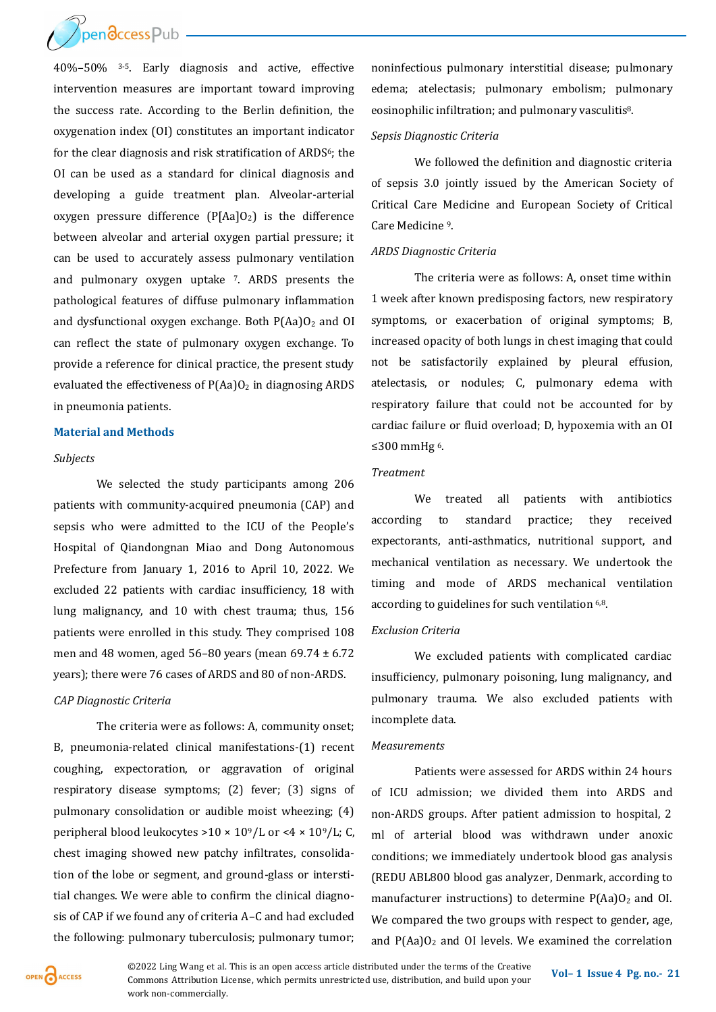

40%–50% 3-5. Early diagnosis and active, effective intervention measures are important toward improving the success rate. According to the Berlin definition, the oxygenation index (OI) constitutes an important indicator for the clear diagnosis and risk stratification of ARDS<sup>6</sup>; the OI can be used as a standard for clinical diagnosis and developing a guide treatment plan. Alveolar-arterial oxygen pressure difference  $(P[Aa]O<sub>2</sub>)$  is the difference between alveolar and arterial oxygen partial pressure; it can be used to accurately assess pulmonary ventilation and pulmonary oxygen uptake 7. ARDS presents the pathological features of diffuse pulmonary inflammation and dysfunctional oxygen exchange. Both  $P(Aa)O<sub>2</sub>$  and OI can reflect the state of pulmonary oxygen exchange. To provide a reference for clinical practice, the present study evaluated the effectiveness of  $P(Aa)O<sub>2</sub>$  in diagnosing ARDS in pneumonia patients.

#### **Material and Methods**

#### *Subjects*

We selected the study participants among 206 patients with community-acquired pneumonia (CAP) and sepsis who were admitted to the ICU of the People's Hospital of Qiandongnan Miao and Dong Autonomous Prefecture from January 1, 2016 to April 10, 2022. We excluded 22 patients with cardiac insufficiency, 18 with lung malignancy, and 10 with chest trauma; thus, 156 patients were enrolled in this study. They comprised 108 men and 48 women, aged 56–80 years (mean 69.74 ± 6.72 years); there were 76 cases of ARDS and 80 of non-ARDS.

#### *CAP Diagnostic Criteria*

The criteria were as follows: A, community onset; B, pneumonia-related clinical manifestations-(1) recent coughing, expectoration, or aggravation of original respiratory disease symptoms; (2) fever; (3) signs of pulmonary consolidation or audible moist wheezing; (4) peripheral blood leukocytes >  $10 \times 10^9$ /L or <  $4 \times 10^9$ /L; C, chest imaging showed new patchy infiltrates, consolidation of the lobe or segment, and ground-glass or interstitial changes. We were able to confirm the clinical diagnosis of CAP if we found any of criteria A–C and had excluded the following: pulmonary tuberculosis; pulmonary tumor;

noninfectious pulmonary interstitial disease; pulmonary edema; atelectasis; pulmonary embolism; pulmonary eosinophilic infiltration; and pulmonary vasculitis8.

# *Sepsis Diagnostic Criteria*

We followed the definition and diagnostic criteria of sepsis 3.0 jointly issued by the American Society of Critical Care Medicine and European Society of Critical Care Medicine <sup>9</sup>.

#### *ARDS Diagnostic Criteria*

The criteria were as follows: A, onset time within 1 week after known predisposing factors, new respiratory symptoms, or exacerbation of original symptoms; B, increased opacity of both lungs in chest imaging that could not be satisfactorily explained by pleural effusion, atelectasis, or nodules; C, pulmonary edema with respiratory failure that could not be accounted for by cardiac failure or fluid overload; D, hypoxemia with an OI ≤300 mmHg <sup>6</sup>.

# *Treatment*

We treated all patients with antibiotics according to standard practice; they received expectorants, anti-asthmatics, nutritional support, and mechanical ventilation as necessary. We undertook the timing and mode of ARDS mechanical ventilation according to guidelines for such ventilation 6,8.

# *Exclusion Criteria*

We excluded patients with complicated cardiac insufficiency, pulmonary poisoning, lung malignancy, and pulmonary trauma. We also excluded patients with incomplete data.

# *Measurements*

Patients were assessed for ARDS within 24 hours of ICU admission; we divided them into ARDS and non-ARDS groups. After patient admission to hospital, 2 ml of arterial blood was withdrawn under anoxic conditions; we immediately undertook blood gas analysis (REDU ABL800 blood gas analyzer, Denmark, according to manufacturer instructions) to determine  $P(Aa)O<sub>2</sub>$  and OI. We compared the two groups with respect to gender, age, and  $P(Aa)O<sub>2</sub>$  and OI levels. We examined the correlation



**©2022** Ling Wang et al. This is an open access article distributed under the terms of the Creative **Vol–1** Issue 4 Pg. no. - 21 Commons Attribution License, which permits unrestricted use, distribution, and build upon your work non-commercially.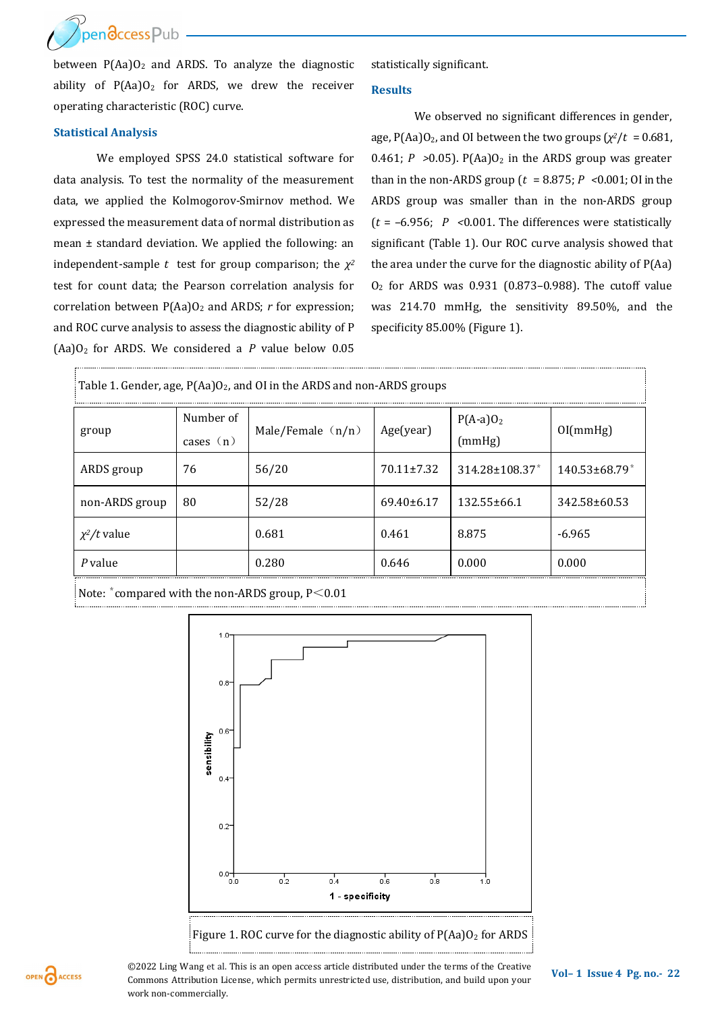pen**a**ccess Pub

between  $P(Aa)O<sub>2</sub>$  and ARDS. To analyze the diagnostic ability of  $P(Aa)O<sub>2</sub>$  for ARDS, we drew the receiver operating characteristic (ROC) curve.

#### **Statistical Analysis**

We employed SPSS 24.0 statistical software for data analysis. To test the normality of the measurement data, we applied the Kolmogorov-Smirnov method. We expressed the measurement data of normal distribution as mean ± standard deviation. We applied the following: an independent-sample *t* test for group comparison; the  $\chi^2$ test for count data; the Pearson correlation analysis for correlation between P(Aa)O<sub>2</sub> and ARDS; *r* for expression; and ROC curve analysis to assess the diagnostic ability of P (Aa)O2 for ARDS. We considered a *P* value below 0.05 statistically significant.

#### **Results**

We observed no significant differences in gender, age, P(Aa)O<sub>2</sub>, and OI between the two groups ( $\chi^2/t = 0.681$ , 0.461;  $P > 0.05$ ). P(Aa)O<sub>2</sub> in the ARDS group was greater than in the non-ARDS group (*t* = 8.875; *P <*0.001; OI in the ARDS group was smaller than in the non-ARDS group (*t* = –6.956; *P <*0.001. The differences were statistically significant (Table 1). Our ROC curve analysis showed that the area under the curve for the diagnostic ability of P(Aa) O<sup>2</sup> for ARDS was 0.931 (0.873–0.988). The cutoff value was 214.70 mmHg, the sensitivity 89.50%, and the specificity 85.00% (Figure 1).

| Table 1. Gender, age, $P(Aa)O_2$ , and OI in the ARDS and non-ARDS groups |                          |                     |                  |                      |                                 |
|---------------------------------------------------------------------------|--------------------------|---------------------|------------------|----------------------|---------------------------------|
| group                                                                     | Number of<br>cases $(n)$ | Male/Female $(n/n)$ | Age(year)        | $P(A-a)O2$<br>(mmHg) | O[(mmHg)]                       |
| ARDS group                                                                | 76                       | 56/20               | $70.11 \pm 7.32$ | $314.28 \pm 108.37$  | $140.53 \pm 68.79$ <sup>*</sup> |
| non-ARDS group                                                            | 80                       | 52/28               | $69.40\pm 6.17$  | $132.55 \pm 66.1$    | 342.58±60.53                    |
| $\chi^2/t$ value                                                          |                          | 0.681               | 0.461            | 8.875                | $-6.965$                        |
| P value                                                                   |                          | 0.280               | 0.646            | 0.000                | 0.000                           |
|                                                                           |                          |                     |                  |                      |                                 |

Note:  $*$  compared with the non-ARDS group, P < 0.01



OPEN CACCESS

**©2022** Ling Wang et al. This is an open access article distributed under the terms of the Creative **Vol–1** Issue 4 Pg. no.- 22 Commons Attribution License, which permits unrestricted use, distribution, and build upon your work non-commercially.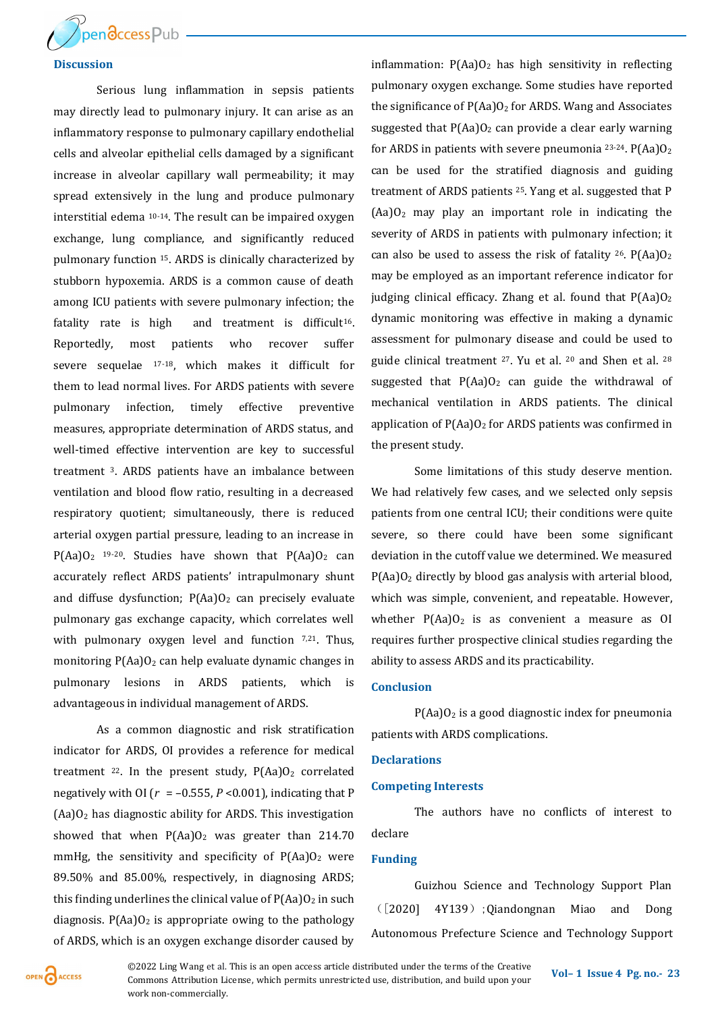

# **Discussion**

Serious lung inflammation in sepsis patients may directly lead to pulmonary injury. It can arise as an inflammatory response to pulmonary capillary endothelial cells and alveolar epithelial cells damaged by a significant increase in alveolar capillary wall permeability; it may spread extensively in the lung and produce pulmonary interstitial edema 10-14. The result can be impaired oxygen exchange, lung compliance, and significantly reduced pulmonary function 15. ARDS is clinically characterized by stubborn hypoxemia. ARDS is a common cause of death among ICU patients with severe pulmonary infection; the fatality rate is high and treatment is difficult<sup>16</sup>. Reportedly, most patients who recover suffer severe sequelae 17-18, which makes it difficult for them to lead normal lives. For ARDS patients with severe pulmonary infection, timely effective preventive measures, appropriate determination of ARDS status, and well-timed effective intervention are key to successful treatment 3. ARDS patients have an imbalance between ventilation and blood flow ratio, resulting in a decreased respiratory quotient; simultaneously, there is reduced arterial oxygen partial pressure, leading to an increase in  $P(Aa)O<sub>2</sub>$  19-20. Studies have shown that  $P(Aa)O<sub>2</sub>$  can accurately reflect ARDS patients' intrapulmonary shunt and diffuse dysfunction;  $P(Aa)O_2$  can precisely evaluate pulmonary gas exchange capacity, which correlates well with pulmonary oxygen level and function  $7,21$ . Thus, monitoring  $P(Aa)O<sub>2</sub>$  can help evaluate dynamic changes in pulmonary lesions in ARDS patients, which is advantageous in individual management of ARDS.

As a common diagnostic and risk stratification indicator for ARDS, OI provides a reference for medical treatment  $22$ . In the present study,  $P(Aa)O<sub>2</sub>$  correlated negatively with OI ( $r = -0.555$ ,  $P < 0.001$ ), indicating that P  $(Aa)O<sub>2</sub>$  has diagnostic ability for ARDS. This investigation showed that when  $P(Aa)O_2$  was greater than 214.70 mmHg, the sensitivity and specificity of  $P(Aa)O<sub>2</sub>$  were 89.50% and 85.00%, respectively, in diagnosing ARDS; this finding underlines the clinical value of  $P(Aa)O<sub>2</sub>$  in such diagnosis.  $P(Aa)O<sub>2</sub>$  is appropriate owing to the pathology of ARDS, which is an oxygen exchange disorder caused by

inflammation:  $P(Aa)O_2$  has high sensitivity in reflecting pulmonary oxygen exchange. Some studies have reported the significance of  $P(Aa)O<sub>2</sub>$  for ARDS. Wang and Associates suggested that  $P(Aa)O_2$  can provide a clear early warning for ARDS in patients with severe pneumonia  $23-24$ . P(Aa)O<sub>2</sub> can be used for the stratified diagnosis and guiding treatment of ARDS patients 25. Yang et al. suggested that P  $(Aa)O<sub>2</sub>$  may play an important role in indicating the severity of ARDS in patients with pulmonary infection; it can also be used to assess the risk of fatality  $26$ . P(Aa)O<sub>2</sub> may be employed as an important reference indicator for judging clinical efficacy. Zhang et al. found that  $P(Aa)O<sub>2</sub>$ dynamic monitoring was effective in making a dynamic assessment for pulmonary disease and could be used to guide clinical treatment 27. Yu et al. <sup>20</sup> and Shen et al. <sup>28</sup> suggested that  $P(Aa)O<sub>2</sub>$  can guide the withdrawal of mechanical ventilation in ARDS patients. The clinical application of  $P(Aa)O<sub>2</sub>$  for ARDS patients was confirmed in the present study.

Some limitations of this study deserve mention. We had relatively few cases, and we selected only sepsis patients from one central ICU; their conditions were quite severe, so there could have been some significant deviation in the cutoff value we determined. We measured  $P(Aa)O<sub>2</sub>$  directly by blood gas analysis with arterial blood, which was simple, convenient, and repeatable. However, whether  $P(Aa)O<sub>2</sub>$  is as convenient a measure as OI requires further prospective clinical studies regarding the ability to assess ARDS and its practicability.

## **Conclusion**

 $P(Aa)O<sub>2</sub>$  is a good diagnostic index for pneumonia patients with ARDS complications.

#### **Declarations**

#### **Competing Interests**

The authors have no conflicts of interest to declare

#### **Funding**

Guizhou Science and Technology Support Plan ([2020] 4Y139);Qiandongnan Miao and Dong Autonomous Prefecture Science and Technology Support



**Vol– <sup>1</sup>Issue 4 Pg. no.-<sup>23</sup>** ©2022 Ling Wang et al. This is an open access article distributed under the terms of the Creative Commons Attribution License, which permits unrestricted use, distribution, and build upon your work non-commercially.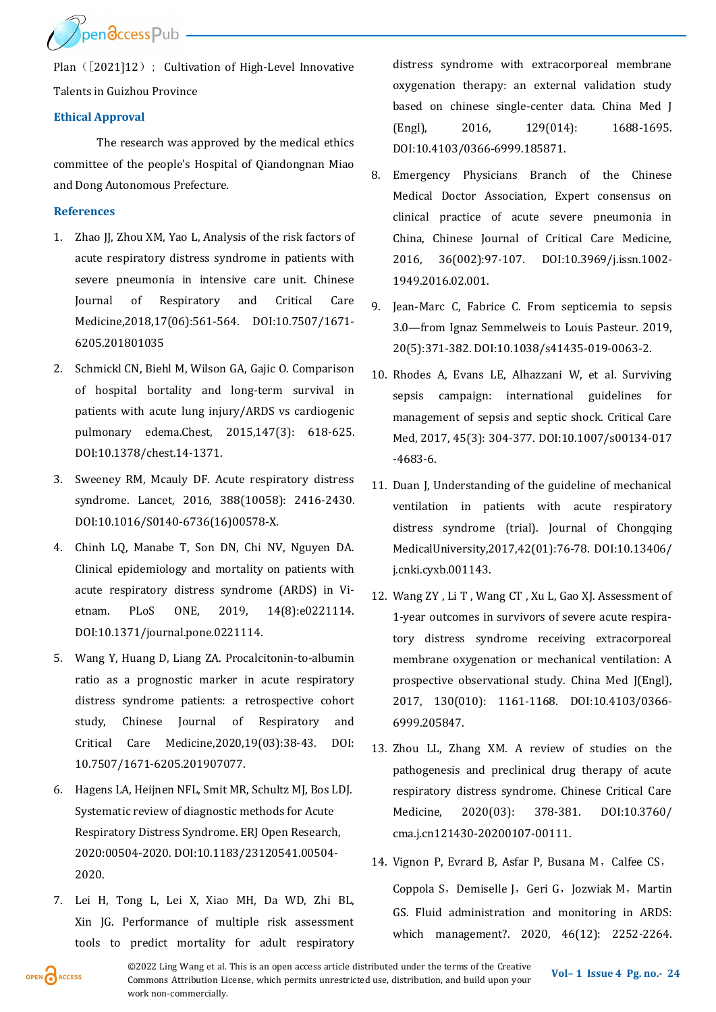Ppendccess Pub

Plan ([2021]12); Cultivation of High-Level Innovative Talents in Guizhou Province

# **Ethical Approval**

The research was approved by the medical ethics committee of the people's Hospital of Qiandongnan Miao and Dong Autonomous Prefecture.

# **References**

- 1. Zhao JJ, Zhou XM, Yao L, Analysis of the risk factors of acute respiratory distress syndrome in patients with severe pneumonia in intensive care unit. Chinese Journal of Respiratory and Critical Care Medicine,2018,17(06):561-564. DOI:10.7507/1671- 6205.201801035
- 2. Schmickl CN, Biehl M, Wilson GA, Gajic O. Comparison of hospital bortality and long-term survival in patients with acute lung injury/ARDS vs cardiogenic pulmonary edema.Chest, 2015,147(3): 618-625. DOI:10.1378/chest.14-1371.
- 3. Sweeney RM, Mcauly DF. Acute respiratory distress syndrome. Lancet, 2016, 388(10058): 2416-2430. DOI:10.1016/S0140-6736(16)00578-X.
- 4. Chinh LQ, Manabe T, Son DN, Chi NV, Nguyen DA. Clinical epidemiology and mortality on patients with acute respiratory distress syndrome (ARDS) in Vietnam. PLoS ONE, 2019, 14(8):e0221114. DOI:10.1371/journal.pone.0221114.
- 5. Wang Y, Huang D, Liang ZA. Procalcitonin-to-albumin ratio as a prognostic marker in acute respiratory distress syndrome patients: a retrospective cohort study, Chinese Journal of Respiratory and Critical Care Medicine,2020,19(03):38-43. DOI: 10.7507/1671-6205.201907077.
- 6. Hagens LA, Heijnen NFL, Smit MR, Schultz MJ, Bos LDJ. Systematic review of diagnostic methods for Acute Respiratory Distress Syndrome. ERJ Open Research, 2020:00504-2020. DOI:10.1183/23120541.00504- 2020.
- 7. Lei H, Tong L, Lei X, Xiao MH, Da WD, Zhi BL, Xin JG. Performance of multiple risk assessment tools to predict mortality for adult respiratory

distress syndrome with extracorporeal membrane oxygenation therapy: an external validation study based on chinese single-center data. China Med J (Engl), 2016, 129(014): 1688-1695. DOI:10.4103/0366-6999.185871.

- 8. Emergency Physicians Branch of the Chinese Medical Doctor Association, Expert consensus on clinical practice of acute severe pneumonia in China, Chinese Journal of Critical Care Medicine, 2016, 36(002):97-107. DOI:10.3969/j.issn.1002- 1949.2016.02.001.
- 9. Jean-Marc C, Fabrice C. From septicemia to sepsis 3.0—from Ignaz Semmelweis to Louis Pasteur. 2019, 20(5):371-382. DOI:10.1038/s41435-019-0063-2.
- 10. Rhodes A, Evans LE, Alhazzani W, et al. Surviving sepsis campaign: international guidelines for management of sepsis and septic shock. Critical Care Med, 2017, 45(3): 304-377. DOI:10.1007/s00134-017 -4683-6.
- 11. Duan J, Understanding of the guideline of mechanical ventilation in patients with acute respiratory distress syndrome (trial). Journal of Chongqing MedicalUniversity,2017,42(01):76-78. DOI:10.13406/ j.cnki.cyxb.001143.
- 12. Wang ZY , Li T , Wang CT , Xu L, Gao XJ. Assessment of 1-year outcomes in survivors of severe acute respiratory distress syndrome receiving extracorporeal membrane oxygenation or mechanical ventilation: A prospective observational study. China Med J(Engl), 2017, 130(010): 1161-1168. DOI:10.4103/0366- 6999.205847.
- 13. Zhou LL, Zhang XM. A review of studies on the pathogenesis and preclinical drug therapy of acute respiratory distress syndrome. Chinese Critical Care Medicine, 2020(03): 378-381. DOI:10.3760/ cma.j.cn121430-20200107-00111.
- 14. Vignon P, Evrard B, Asfar P, Busana M, Calfee CS, Coppola S, Demiselle J, Geri G, Jozwiak M, Martin GS. Fluid administration and monitoring in ARDS: which management?. 2020, 46(12): 2252-2264.

OPEN CACCESS

**©2022** Ling Wang et al. This is an open access article distributed under the terms of the Creative Vol–1 Issue 4 Pg. no.- 24 Commons Attribution License, which permits unrestricted use, distribution, and build upon your work non-commercially.